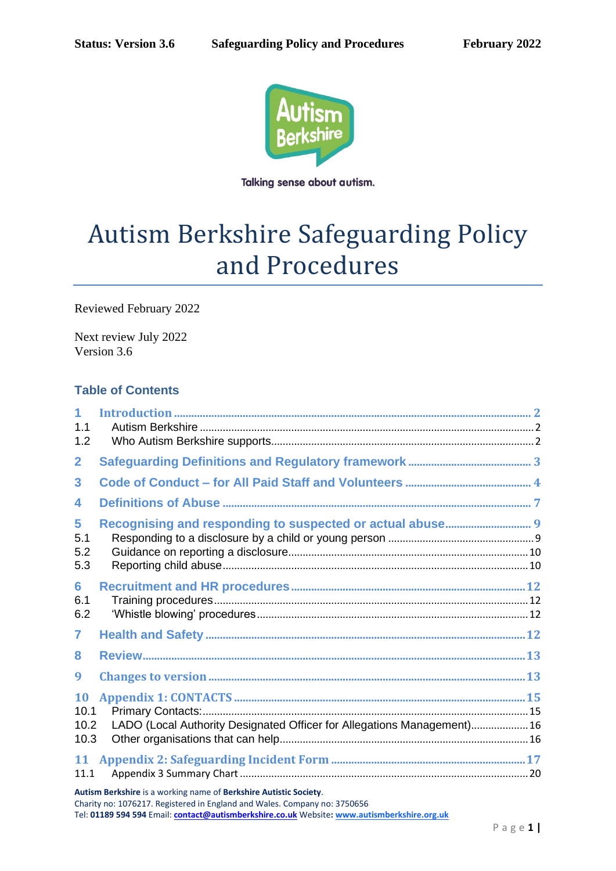

Talking sense about autism.

## Autism Berkshire Safeguarding Policy and Procedures

Reviewed February 2022

Next review July 2022 Version 3.6

## **Table of Contents**

| 1.1<br>1.2                 |                                                                         |  |
|----------------------------|-------------------------------------------------------------------------|--|
| $\overline{2}$             |                                                                         |  |
| 3                          |                                                                         |  |
| 4                          |                                                                         |  |
| 5<br>5.1<br>5.2<br>5.3     |                                                                         |  |
| 6<br>6.1<br>6.2            |                                                                         |  |
| 7                          |                                                                         |  |
| 8                          |                                                                         |  |
| 9                          |                                                                         |  |
| 10<br>10.1<br>10.2<br>10.3 | LADO (Local Authority Designated Officer for Allegations Management) 16 |  |
| 11<br>11.1                 |                                                                         |  |

#### **Autism Berkshire** is a working name of **Berkshire Autistic Society**.

Charity no: 1076217. Registered in England and Wales. Company no: 3750656 Tel: **01189 594 594** Email: **[contact@autismberkshire.co.uk](mailto:contact@autismberkshire.co.uk)** Website**: www.autismberkshire.org.uk**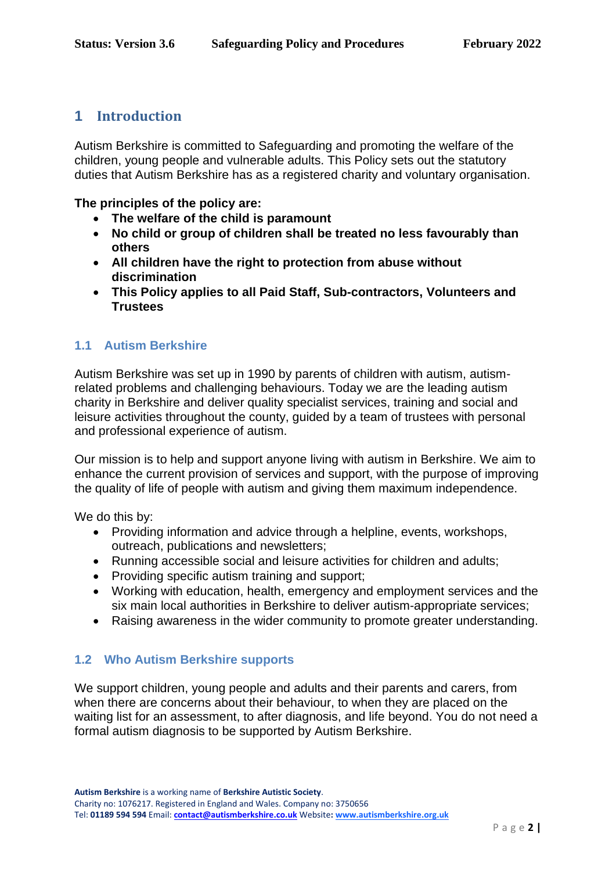## <span id="page-1-0"></span>**1 Introduction**

Autism Berkshire is committed to Safeguarding and promoting the welfare of the children, young people and vulnerable adults. This Policy sets out the statutory duties that Autism Berkshire has as a registered charity and voluntary organisation.

**The principles of the policy are:**

- **The welfare of the child is paramount**
- **No child or group of children shall be treated no less favourably than others**
- **All children have the right to protection from abuse without discrimination**
- **This Policy applies to all Paid Staff, Sub-contractors, Volunteers and Trustees**

## <span id="page-1-1"></span>**1.1 Autism Berkshire**

Autism Berkshire was set up in 1990 by parents of children with autism, autismrelated problems and challenging behaviours. Today we are the leading autism charity in Berkshire and deliver quality specialist services, training and social and leisure activities throughout the county, guided by a team of trustees with personal and professional experience of autism.

Our mission is to help and support anyone living with autism in Berkshire. We aim to enhance the current provision of services and support, with the purpose of improving the quality of life of people with autism and giving them maximum independence.

We do this by:

- Providing information and advice through a helpline, events, workshops, outreach, publications and newsletters;
- Running accessible social and leisure activities for children and adults;
- Providing specific autism training and support;
- Working with education, health, emergency and employment services and the six main local authorities in Berkshire to deliver autism-appropriate services;
- Raising awareness in the wider community to promote greater understanding.

## <span id="page-1-2"></span>**1.2 Who Autism Berkshire supports**

We support children, young people and adults and their parents and carers, from when there are concerns about their behaviour, to when they are placed on the waiting list for an assessment, to after diagnosis, and life beyond. You do not need a formal autism diagnosis to be supported by Autism Berkshire.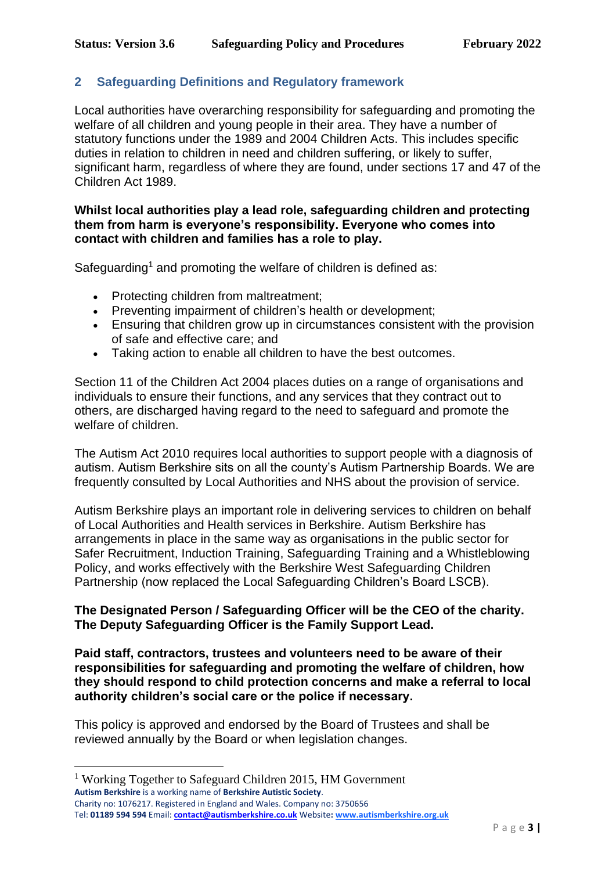## <span id="page-2-0"></span>**2 Safeguarding Definitions and Regulatory framework**

Local authorities have overarching responsibility for safeguarding and promoting the welfare of all children and young people in their area. They have a number of statutory functions under the 1989 and 2004 Children Acts. This includes specific duties in relation to children in need and children suffering, or likely to suffer, significant harm, regardless of where they are found, under sections 17 and 47 of the Children Act 1989.

### **Whilst local authorities play a lead role, safeguarding children and protecting them from harm is everyone's responsibility. Everyone who comes into contact with children and families has a role to play.**

Safeguarding<sup>1</sup> and promoting the welfare of children is defined as:

- Protecting children from maltreatment;
- Preventing impairment of children's health or development;
- Ensuring that children grow up in circumstances consistent with the provision of safe and effective care; and
- Taking action to enable all children to have the best outcomes.

Section 11 of the Children Act 2004 places duties on a range of organisations and individuals to ensure their functions, and any services that they contract out to others, are discharged having regard to the need to safeguard and promote the welfare of children.

The Autism Act 2010 requires local authorities to support people with a diagnosis of autism. Autism Berkshire sits on all the county's Autism Partnership Boards. We are frequently consulted by Local Authorities and NHS about the provision of service.

Autism Berkshire plays an important role in delivering services to children on behalf of Local Authorities and Health services in Berkshire. Autism Berkshire has arrangements in place in the same way as organisations in the public sector for Safer Recruitment, Induction Training, Safeguarding Training and a Whistleblowing Policy, and works effectively with the Berkshire West Safeguarding Children Partnership (now replaced the Local Safeguarding Children's Board LSCB).

## **The Designated Person / Safeguarding Officer will be the CEO of the charity. The Deputy Safeguarding Officer is the Family Support Lead.**

**Paid staff, contractors, trustees and volunteers need to be aware of their responsibilities for safeguarding and promoting the welfare of children, how they should respond to child protection concerns and make a referral to local authority children's social care or the police if necessary.**

This policy is approved and endorsed by the Board of Trustees and shall be reviewed annually by the Board or when legislation changes.

**Autism Berkshire** is a working name of **Berkshire Autistic Society**. <sup>1</sup> Working Together to Safeguard Children 2015, HM Government

Charity no: 1076217. Registered in England and Wales. Company no: 3750656 Tel: **01189 594 594** Email: **[contact@autismberkshire.co.uk](mailto:contact@autismberkshire.co.uk)** Website**: www.autismberkshire.org.uk**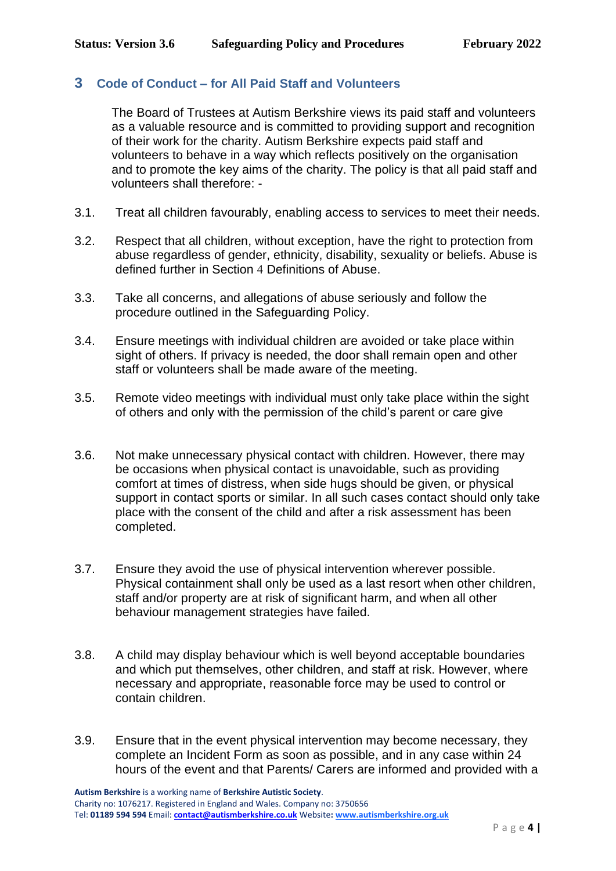## <span id="page-3-0"></span>**3 Code of Conduct – for All Paid Staff and Volunteers**

The Board of Trustees at Autism Berkshire views its paid staff and volunteers as a valuable resource and is committed to providing support and recognition of their work for the charity. Autism Berkshire expects paid staff and volunteers to behave in a way which reflects positively on the organisation and to promote the key aims of the charity. The policy is that all paid staff and volunteers shall therefore: -

- 3.1. Treat all children favourably, enabling access to services to meet their needs.
- 3.2. Respect that all children, without exception, have the right to protection from abuse regardless of gender, ethnicity, disability, sexuality or beliefs. Abuse is defined further in Section [4](#page-6-0) [Definitions](#page-6-0) of Abuse.
- 3.3. Take all concerns, and allegations of abuse seriously and follow the procedure outlined in the Safeguarding Policy.
- 3.4. Ensure meetings with individual children are avoided or take place within sight of others. If privacy is needed, the door shall remain open and other staff or volunteers shall be made aware of the meeting.
- 3.5. Remote video meetings with individual must only take place within the sight of others and only with the permission of the child's parent or care give
- 3.6. Not make unnecessary physical contact with children. However, there may be occasions when physical contact is unavoidable, such as providing comfort at times of distress, when side hugs should be given, or physical support in contact sports or similar. In all such cases contact should only take place with the consent of the child and after a risk assessment has been completed.
- 3.7. Ensure they avoid the use of physical intervention wherever possible. Physical containment shall only be used as a last resort when other children, staff and/or property are at risk of significant harm, and when all other behaviour management strategies have failed.
- 3.8. A child may display behaviour which is well beyond acceptable boundaries and which put themselves, other children, and staff at risk. However, where necessary and appropriate, reasonable force may be used to control or contain children.
- 3.9. Ensure that in the event physical intervention may become necessary, they complete an Incident Form as soon as possible, and in any case within 24 hours of the event and that Parents/ Carers are informed and provided with a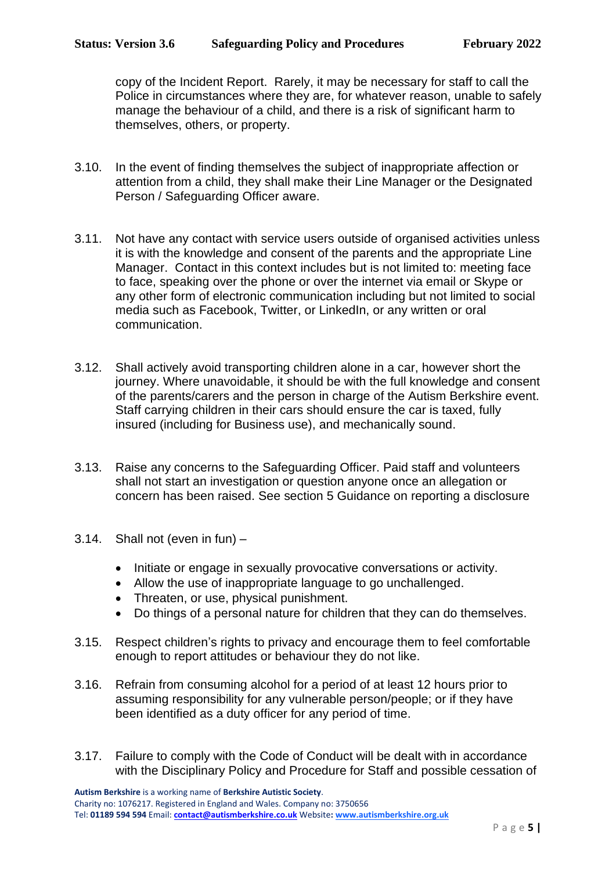copy of the Incident Report. Rarely, it may be necessary for staff to call the Police in circumstances where they are, for whatever reason, unable to safely manage the behaviour of a child, and there is a risk of significant harm to themselves, others, or property.

- 3.10. In the event of finding themselves the subject of inappropriate affection or attention from a child, they shall make their Line Manager or the Designated Person / Safeguarding Officer aware.
- 3.11. Not have any contact with service users outside of organised activities unless it is with the knowledge and consent of the parents and the appropriate Line Manager. Contact in this context includes but is not limited to: meeting face to face, speaking over the phone or over the internet via email or Skype or any other form of electronic communication including but not limited to social media such as Facebook, Twitter, or LinkedIn, or any written or oral communication.
- 3.12. Shall actively avoid transporting children alone in a car, however short the journey. Where unavoidable, it should be with the full knowledge and consent of the parents/carers and the person in charge of the Autism Berkshire event. Staff carrying children in their cars should ensure the car is taxed, fully insured (including for Business use), and mechanically sound.
- 3.13. Raise any concerns to the Safeguarding Officer. Paid staff and volunteers shall not start an investigation or question anyone once an allegation or concern has been raised. See section 5 Guidance on reporting a [disclosure](#page-9-0)
- 3.14. Shall not (even in fun)
	- Initiate or engage in sexually provocative conversations or activity.
	- Allow the use of inappropriate language to go unchallenged.
	- Threaten, or use, physical punishment.
	- Do things of a personal nature for children that they can do themselves.
- 3.15. Respect children's rights to privacy and encourage them to feel comfortable enough to report attitudes or behaviour they do not like.
- 3.16. Refrain from consuming alcohol for a period of at least 12 hours prior to assuming responsibility for any vulnerable person/people; or if they have been identified as a duty officer for any period of time.
- 3.17. Failure to comply with the Code of Conduct will be dealt with in accordance with the Disciplinary Policy and Procedure for Staff and possible cessation of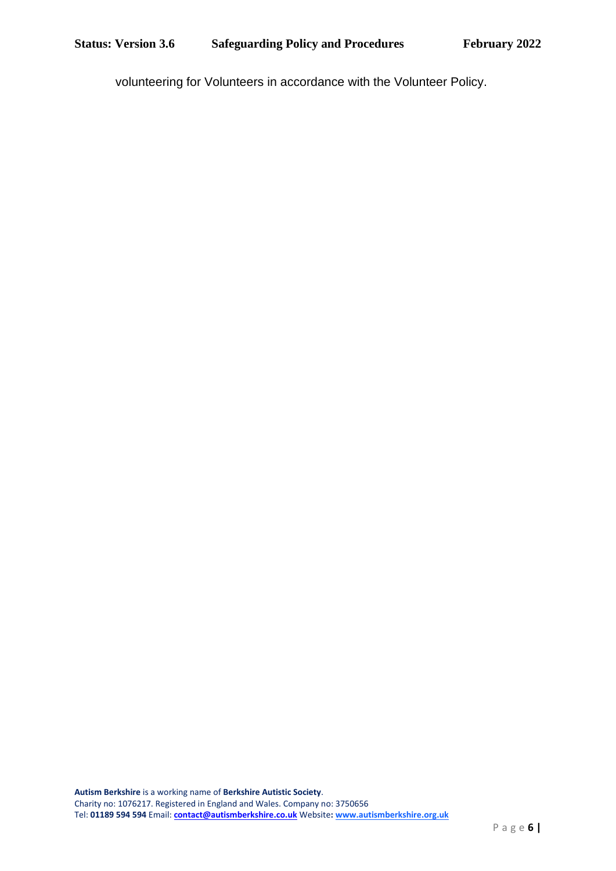volunteering for Volunteers in accordance with the Volunteer Policy.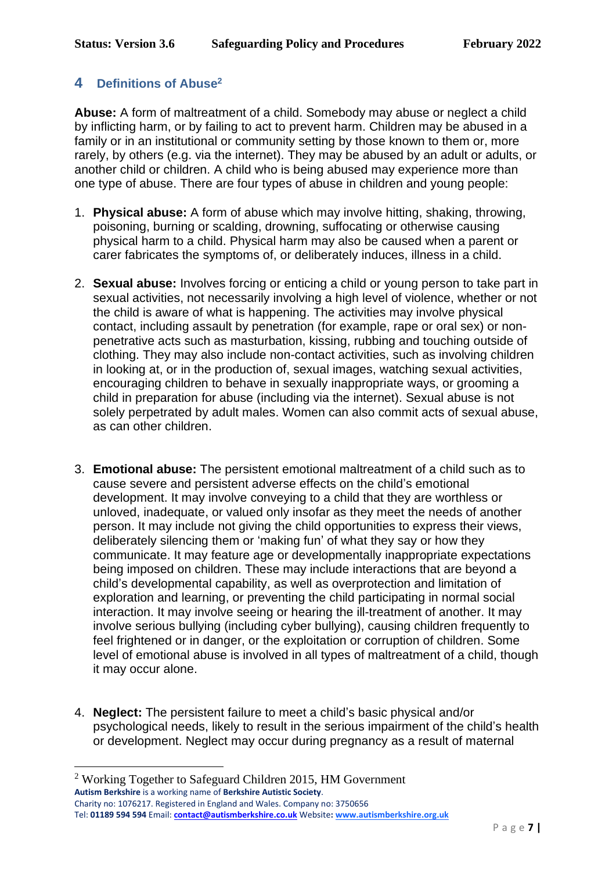## <span id="page-6-0"></span>**4 Definitions of Abuse<sup>2</sup>**

**Abuse:** A form of maltreatment of a child. Somebody may abuse or neglect a child by inflicting harm, or by failing to act to prevent harm. Children may be abused in a family or in an institutional or community setting by those known to them or, more rarely, by others (e.g. via the internet). They may be abused by an adult or adults, or another child or children. A child who is being abused may experience more than one type of abuse. There are four types of abuse in children and young people:

- 1. **Physical abuse:** A form of abuse which may involve hitting, shaking, throwing, poisoning, burning or scalding, drowning, suffocating or otherwise causing physical harm to a child. Physical harm may also be caused when a parent or carer fabricates the symptoms of, or deliberately induces, illness in a child.
- 2. **Sexual abuse:** Involves forcing or enticing a child or young person to take part in sexual activities, not necessarily involving a high level of violence, whether or not the child is aware of what is happening. The activities may involve physical contact, including assault by penetration (for example, rape or oral sex) or nonpenetrative acts such as masturbation, kissing, rubbing and touching outside of clothing. They may also include non-contact activities, such as involving children in looking at, or in the production of, sexual images, watching sexual activities, encouraging children to behave in sexually inappropriate ways, or grooming a child in preparation for abuse (including via the internet). Sexual abuse is not solely perpetrated by adult males. Women can also commit acts of sexual abuse, as can other children.
- 3. **Emotional abuse:** The persistent emotional maltreatment of a child such as to cause severe and persistent adverse effects on the child's emotional development. It may involve conveying to a child that they are worthless or unloved, inadequate, or valued only insofar as they meet the needs of another person. It may include not giving the child opportunities to express their views, deliberately silencing them or 'making fun' of what they say or how they communicate. It may feature age or developmentally inappropriate expectations being imposed on children. These may include interactions that are beyond a child's developmental capability, as well as overprotection and limitation of exploration and learning, or preventing the child participating in normal social interaction. It may involve seeing or hearing the ill-treatment of another. It may involve serious bullying (including cyber bullying), causing children frequently to feel frightened or in danger, or the exploitation or corruption of children. Some level of emotional abuse is involved in all types of maltreatment of a child, though it may occur alone.
- 4. **Neglect:** The persistent failure to meet a child's basic physical and/or psychological needs, likely to result in the serious impairment of the child's health or development. Neglect may occur during pregnancy as a result of maternal

Charity no: 1076217. Registered in England and Wales. Company no: 3750656 Tel: **01189 594 594** Email: **[contact@autismberkshire.co.uk](mailto:contact@autismberkshire.co.uk)** Website**: www.autismberkshire.org.uk**

**Autism Berkshire** is a working name of **Berkshire Autistic Society**. <sup>2</sup> Working Together to Safeguard Children 2015, HM Government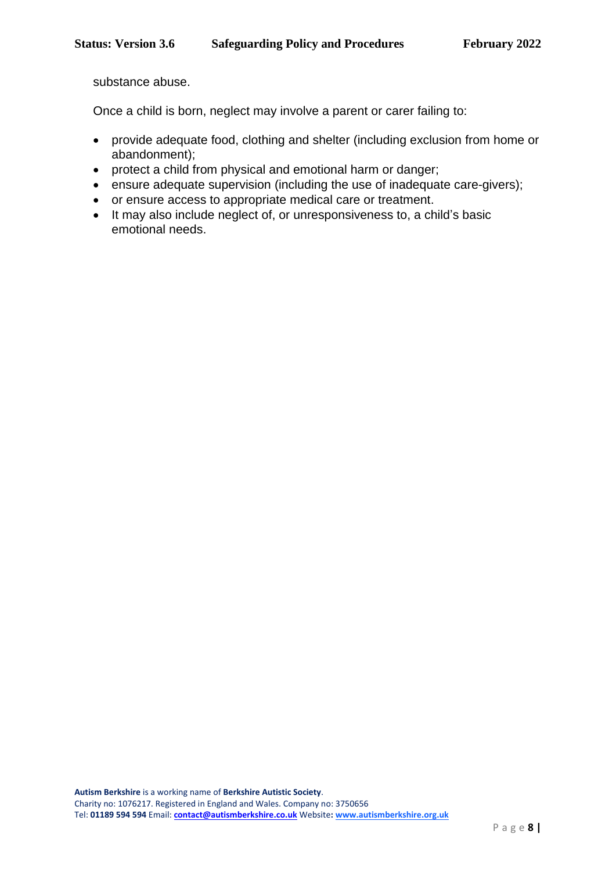substance abuse.

Once a child is born, neglect may involve a parent or carer failing to:

- provide adequate food, clothing and shelter (including exclusion from home or abandonment);
- protect a child from physical and emotional harm or danger;
- ensure adequate supervision (including the use of inadequate care-givers);
- or ensure access to appropriate medical care or treatment.
- It may also include neglect of, or unresponsiveness to, a child's basic emotional needs.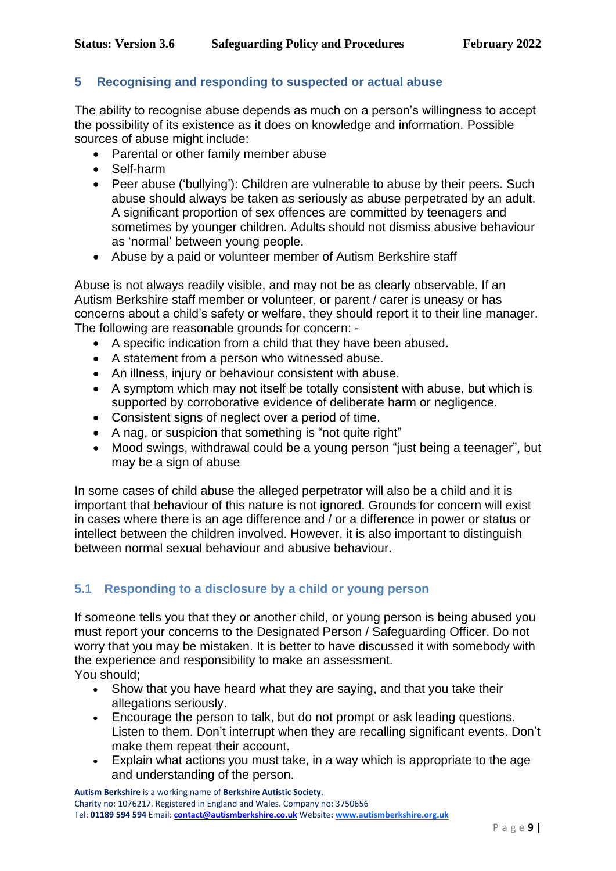## <span id="page-8-0"></span>**5 Recognising and responding to suspected or actual abuse**

The ability to recognise abuse depends as much on a person's willingness to accept the possibility of its existence as it does on knowledge and information. Possible sources of abuse might include:

- Parental or other family member abuse
- Self-harm
- Peer abuse ('bullying'): Children are vulnerable to abuse by their peers. Such abuse should always be taken as seriously as abuse perpetrated by an adult. A significant proportion of sex offences are committed by teenagers and sometimes by younger children. Adults should not dismiss abusive behaviour as 'normal' between young people.
- Abuse by a paid or volunteer member of Autism Berkshire staff

Abuse is not always readily visible, and may not be as clearly observable. If an Autism Berkshire staff member or volunteer, or parent / carer is uneasy or has concerns about a child's safety or welfare, they should report it to their line manager. The following are reasonable grounds for concern: -

- A specific indication from a child that they have been abused.
- A statement from a person who witnessed abuse.
- An illness, injury or behaviour consistent with abuse.
- A symptom which may not itself be totally consistent with abuse, but which is supported by corroborative evidence of deliberate harm or negligence.
- Consistent signs of neglect over a period of time.
- A nag, or suspicion that something is "not quite right"
- Mood swings, withdrawal could be a young person "just being a teenager", but may be a sign of abuse

In some cases of child abuse the alleged perpetrator will also be a child and it is important that behaviour of this nature is not ignored. Grounds for concern will exist in cases where there is an age difference and / or a difference in power or status or intellect between the children involved. However, it is also important to distinguish between normal sexual behaviour and abusive behaviour.

## <span id="page-8-1"></span>**5.1 Responding to a disclosure by a child or young person**

If someone tells you that they or another child, or young person is being abused you must report your concerns to the Designated Person / Safeguarding Officer. Do not worry that you may be mistaken. It is better to have discussed it with somebody with the experience and responsibility to make an assessment. You should;

• Show that you have heard what they are saying, and that you take their allegations seriously.

- Encourage the person to talk, but do not prompt or ask leading questions. Listen to them. Don't interrupt when they are recalling significant events. Don't make them repeat their account.
- Explain what actions you must take, in a way which is appropriate to the age and understanding of the person.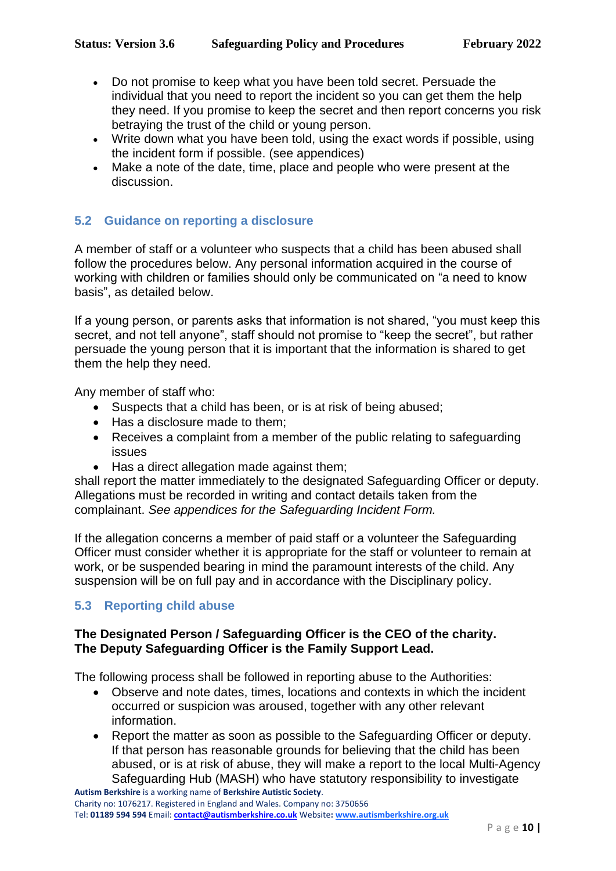- Do not promise to keep what you have been told secret. Persuade the individual that you need to report the incident so you can get them the help they need. If you promise to keep the secret and then report concerns you risk betraying the trust of the child or young person.
- Write down what you have been told, using the exact words if possible, using the incident form if possible. (see appendices)
- Make a note of the date, time, place and people who were present at the discussion.

## <span id="page-9-0"></span>**5.2 Guidance on reporting a disclosure**

A member of staff or a volunteer who suspects that a child has been abused shall follow the procedures below. Any personal information acquired in the course of working with children or families should only be communicated on "a need to know basis", as detailed below.

If a young person, or parents asks that information is not shared, "you must keep this secret, and not tell anyone", staff should not promise to "keep the secret", but rather persuade the young person that it is important that the information is shared to get them the help they need.

Any member of staff who:

- Suspects that a child has been, or is at risk of being abused;
- Has a disclosure made to them;
- Receives a complaint from a member of the public relating to safeguarding issues
- Has a direct allegation made against them;

shall report the matter immediately to the designated Safeguarding Officer or deputy. Allegations must be recorded in writing and contact details taken from the complainant. *See appendices for the Safeguarding Incident Form.*

If the allegation concerns a member of paid staff or a volunteer the Safeguarding Officer must consider whether it is appropriate for the staff or volunteer to remain at work, or be suspended bearing in mind the paramount interests of the child. Any suspension will be on full pay and in accordance with the Disciplinary policy.

## <span id="page-9-1"></span>**5.3 Reporting child abuse**

## **The Designated Person / Safeguarding Officer is the CEO of the charity. The Deputy Safeguarding Officer is the Family Support Lead.**

The following process shall be followed in reporting abuse to the Authorities:

- Observe and note dates, times, locations and contexts in which the incident occurred or suspicion was aroused, together with any other relevant information.
- Report the matter as soon as possible to the Safeguarding Officer or deputy. If that person has reasonable grounds for believing that the child has been abused, or is at risk of abuse, they will make a report to the local Multi-Agency Safeguarding Hub (MASH) who have statutory responsibility to investigate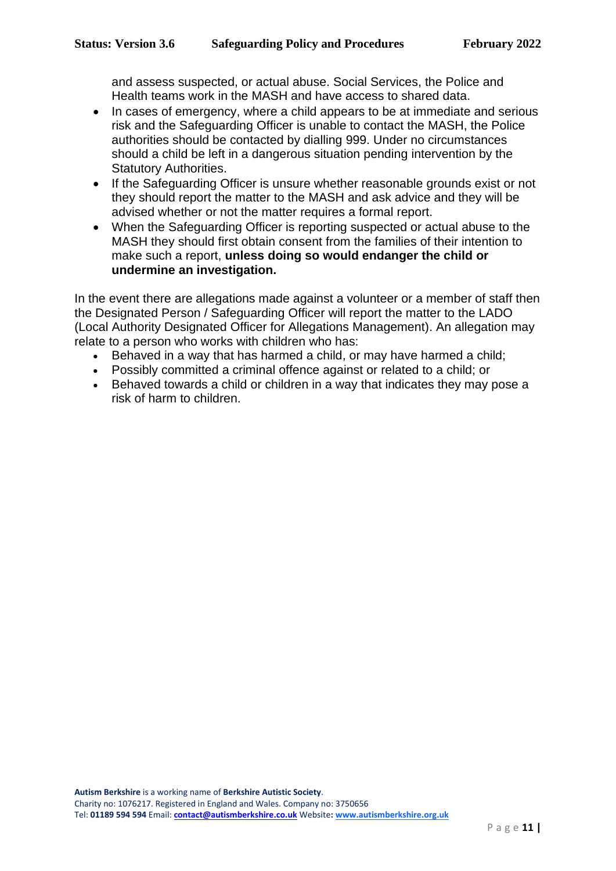and assess suspected, or actual abuse. Social Services, the Police and Health teams work in the MASH and have access to shared data.

- In cases of emergency, where a child appears to be at immediate and serious risk and the Safeguarding Officer is unable to contact the MASH, the Police authorities should be contacted by dialling 999. Under no circumstances should a child be left in a dangerous situation pending intervention by the Statutory Authorities.
- If the Safeguarding Officer is unsure whether reasonable grounds exist or not they should report the matter to the MASH and ask advice and they will be advised whether or not the matter requires a formal report.
- When the Safeguarding Officer is reporting suspected or actual abuse to the MASH they should first obtain consent from the families of their intention to make such a report, **unless doing so would endanger the child or undermine an investigation.**

In the event there are allegations made against a volunteer or a member of staff then the Designated Person / Safeguarding Officer will report the matter to the LADO (Local Authority Designated Officer for Allegations Management). An allegation may relate to a person who works with children who has:

- Behaved in a way that has harmed a child, or may have harmed a child;
- Possibly committed a criminal offence against or related to a child; or
- Behaved towards a child or children in a way that indicates they may pose a risk of harm to children.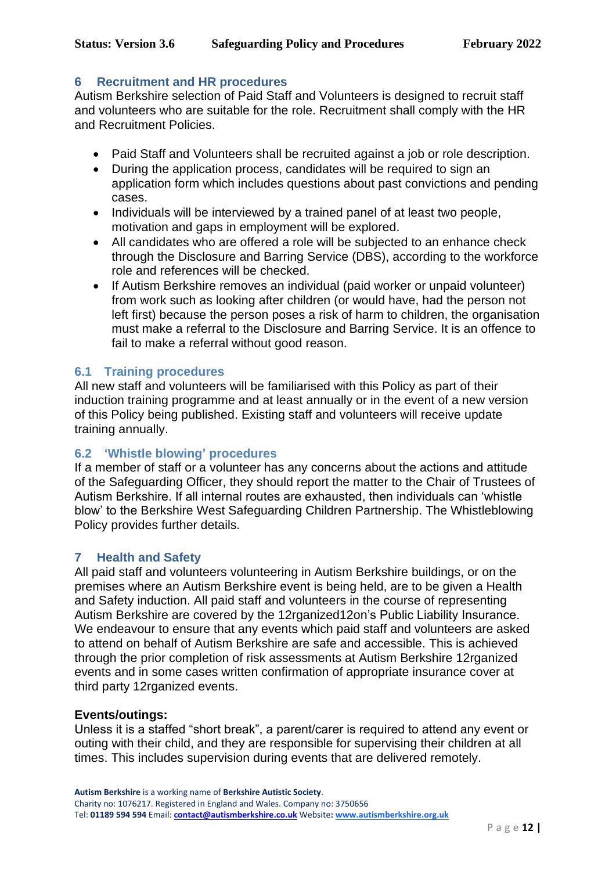## <span id="page-11-0"></span>**6 Recruitment and HR procedures**

Autism Berkshire selection of Paid Staff and Volunteers is designed to recruit staff and volunteers who are suitable for the role. Recruitment shall comply with the HR and Recruitment Policies.

- Paid Staff and Volunteers shall be recruited against a job or role description.
- During the application process, candidates will be required to sign an application form which includes questions about past convictions and pending cases.
- Individuals will be interviewed by a trained panel of at least two people, motivation and gaps in employment will be explored.
- All candidates who are offered a role will be subjected to an enhance check through the Disclosure and Barring Service (DBS), according to the workforce role and references will be checked.
- If Autism Berkshire removes an individual (paid worker or unpaid volunteer) from work such as looking after children (or would have, had the person not left first) because the person poses a risk of harm to children, the organisation must make a referral to the Disclosure and Barring Service. It is an offence to fail to make a referral without good reason.

## <span id="page-11-1"></span>**6.1 Training procedures**

All new staff and volunteers will be familiarised with this Policy as part of their induction training programme and at least annually or in the event of a new version of this Policy being published. Existing staff and volunteers will receive update training annually.

## <span id="page-11-2"></span>**6.2 'Whistle blowing' procedures**

If a member of staff or a volunteer has any concerns about the actions and attitude of the Safeguarding Officer, they should report the matter to the Chair of Trustees of Autism Berkshire. If all internal routes are exhausted, then individuals can 'whistle blow' to the Berkshire West Safeguarding Children Partnership. The Whistleblowing Policy provides further details.

## <span id="page-11-3"></span>**7 Health and Safety**

All paid staff and volunteers volunteering in Autism Berkshire buildings, or on the premises where an Autism Berkshire event is being held, are to be given a Health and Safety induction. All paid staff and volunteers in the course of representing Autism Berkshire are covered by the 12rganized12on's Public Liability Insurance. We endeavour to ensure that any events which paid staff and volunteers are asked to attend on behalf of Autism Berkshire are safe and accessible. This is achieved through the prior completion of risk assessments at Autism Berkshire 12rganized events and in some cases written confirmation of appropriate insurance cover at third party 12rganized events.

## **Events/outings:**

Unless it is a staffed "short break", a parent/carer is required to attend any event or outing with their child, and they are responsible for supervising their children at all times. This includes supervision during events that are delivered remotely.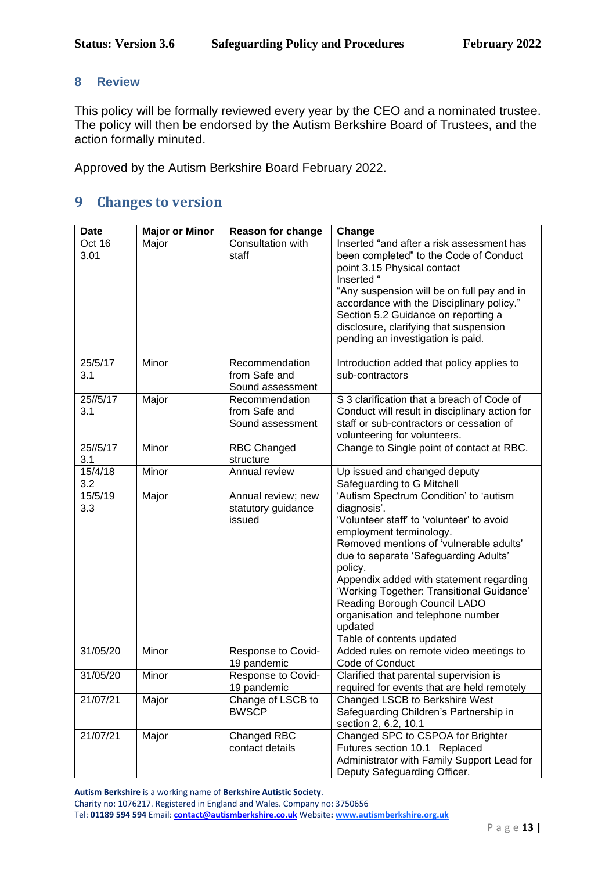## <span id="page-12-0"></span>**8 Review**

This policy will be formally reviewed every year by the CEO and a nominated trustee. The policy will then be endorsed by the Autism Berkshire Board of Trustees, and the action formally minuted.

Approved by the Autism Berkshire Board February 2022.

## <span id="page-12-1"></span>**9 Changes to version**

| Date            | <b>Major or Minor</b> | <b>Reason for change</b>                            | Change                                                                                                                                                                                                                                                                                                                                                                                                                            |
|-----------------|-----------------------|-----------------------------------------------------|-----------------------------------------------------------------------------------------------------------------------------------------------------------------------------------------------------------------------------------------------------------------------------------------------------------------------------------------------------------------------------------------------------------------------------------|
| Oct 16<br>3.01  | Major                 | Consultation with<br>staff                          | Inserted "and after a risk assessment has<br>been completed" to the Code of Conduct<br>point 3.15 Physical contact<br>Inserted "<br>"Any suspension will be on full pay and in<br>accordance with the Disciplinary policy."<br>Section 5.2 Guidance on reporting a<br>disclosure, clarifying that suspension<br>pending an investigation is paid.                                                                                 |
| 25/5/17<br>3.1  | Minor                 | Recommendation<br>from Safe and<br>Sound assessment | Introduction added that policy applies to<br>sub-contractors                                                                                                                                                                                                                                                                                                                                                                      |
| 25//5/17<br>3.1 | Major                 | Recommendation<br>from Safe and<br>Sound assessment | S 3 clarification that a breach of Code of<br>Conduct will result in disciplinary action for<br>staff or sub-contractors or cessation of<br>volunteering for volunteers.                                                                                                                                                                                                                                                          |
| 25//5/17<br>3.1 | Minor                 | <b>RBC Changed</b><br>structure                     | Change to Single point of contact at RBC.                                                                                                                                                                                                                                                                                                                                                                                         |
| 15/4/18<br>3.2  | Minor                 | Annual review                                       | Up issued and changed deputy<br>Safeguarding to G Mitchell                                                                                                                                                                                                                                                                                                                                                                        |
| 15/5/19<br>3.3  | Major                 | Annual review; new<br>statutory guidance<br>issued  | 'Autism Spectrum Condition' to 'autism<br>diagnosis'.<br>'Volunteer staff' to 'volunteer' to avoid<br>employment terminology.<br>Removed mentions of 'vulnerable adults'<br>due to separate 'Safeguarding Adults'<br>policy.<br>Appendix added with statement regarding<br>'Working Together: Transitional Guidance'<br>Reading Borough Council LADO<br>organisation and telephone number<br>updated<br>Table of contents updated |
| 31/05/20        | Minor                 | Response to Covid-<br>19 pandemic                   | Added rules on remote video meetings to<br>Code of Conduct                                                                                                                                                                                                                                                                                                                                                                        |
| 31/05/20        | Minor                 | Response to Covid-<br>19 pandemic                   | Clarified that parental supervision is<br>required for events that are held remotely                                                                                                                                                                                                                                                                                                                                              |
| 21/07/21        | Major                 | Change of LSCB to<br><b>BWSCP</b>                   | Changed LSCB to Berkshire West<br>Safeguarding Children's Partnership in<br>section 2, 6.2, 10.1                                                                                                                                                                                                                                                                                                                                  |
| 21/07/21        | Major                 | Changed RBC<br>contact details                      | Changed SPC to CSPOA for Brighter<br>Futures section 10.1 Replaced<br>Administrator with Family Support Lead for<br>Deputy Safeguarding Officer.                                                                                                                                                                                                                                                                                  |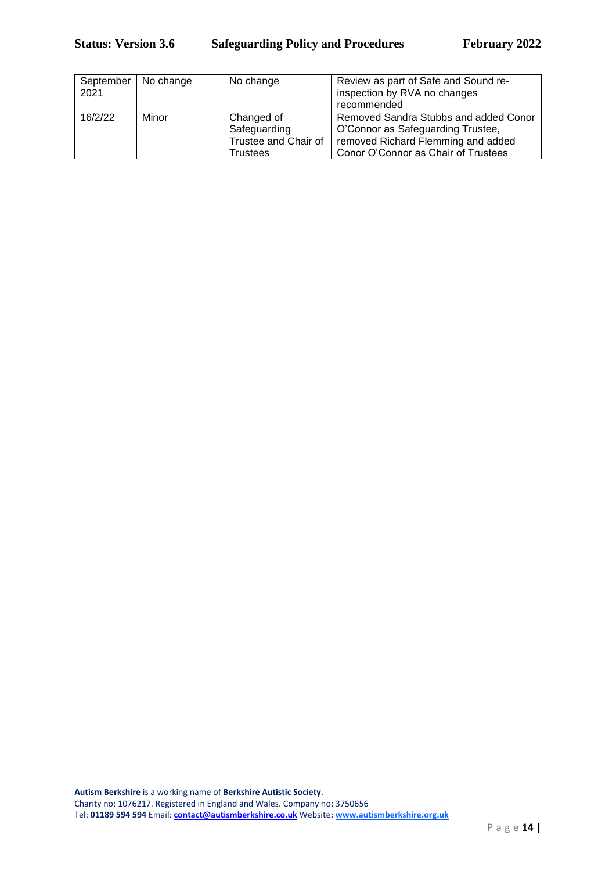| September<br>No change<br>No change |       |                      | Review as part of Safe and Sound re-  |
|-------------------------------------|-------|----------------------|---------------------------------------|
| 2021                                |       |                      | inspection by RVA no changes          |
|                                     |       |                      | recommended                           |
| 16/2/22                             | Minor | Changed of           | Removed Sandra Stubbs and added Conor |
|                                     |       | Safeguarding         | O'Connor as Safeguarding Trustee,     |
|                                     |       | Trustee and Chair of | removed Richard Flemming and added    |
|                                     |       | Trustees             | Conor O'Connor as Chair of Trustees   |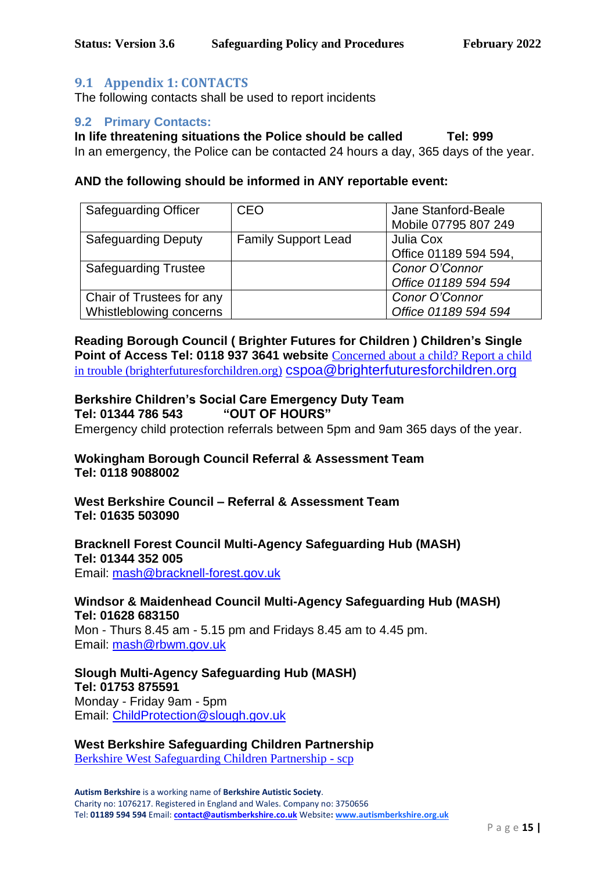## <span id="page-14-0"></span>**9.1 Appendix 1: CONTACTS**

The following contacts shall be used to report incidents

### <span id="page-14-1"></span>**9.2 Primary Contacts:**

**In life threatening situations the Police should be called Tel: 999** In an emergency, the Police can be contacted 24 hours a day, 365 days of the year.

#### **AND the following should be informed in ANY reportable event:**

| <b>Safeguarding Officer</b> | CEO                        | Jane Stanford-Beale   |
|-----------------------------|----------------------------|-----------------------|
|                             |                            | Mobile 07795 807 249  |
| <b>Safeguarding Deputy</b>  | <b>Family Support Lead</b> | Julia Cox             |
|                             |                            | Office 01189 594 594, |
| <b>Safeguarding Trustee</b> |                            | Conor O'Connor        |
|                             |                            | Office 01189 594 594  |
| Chair of Trustees for any   |                            | Conor O'Connor        |
| Whistleblowing concerns     |                            | Office 01189 594 594  |

## **Reading Borough Council ( Brighter Futures for Children ) Children's Single Point of Access Tel: 0118 937 3641 website** [Concerned about a child? Report a child](https://brighterfuturesforchildren.org/concerned-about-a-child/)

[in trouble \(brighterfuturesforchildren.org\)](https://brighterfuturesforchildren.org/concerned-about-a-child/) [cspoa@brighterfuturesforchildren.org](mailto:cspoa@brighterfuturesforchildren.org)

## **Berkshire Children's Social Care Emergency Duty Team Tel: 01344 786 543 "OUT OF HOURS"**

Emergency child protection referrals between 5pm and 9am 365 days of the year.

## **Wokingham Borough Council Referral & Assessment Team Tel: 0118 9088002**

#### **West Berkshire Council – Referral & Assessment Team Tel: 01635 503090**

#### **Bracknell Forest Council Multi-Agency Safeguarding Hub (MASH) Tel: 01344 352 005** Email: [mash@bracknell-forest.gov.uk](mailto:mash@bracknell-forest.gov.uk)

## **Windsor & Maidenhead Council Multi-Agency Safeguarding Hub (MASH) Tel: 01628 683150**

Mon - Thurs 8.45 am - 5.15 pm and Fridays 8.45 am to 4.45 pm. Email: [mash@rbwm.gov.uk](mailto:mash@rbwm.gov.uk)

### **Slough Multi-Agency Safeguarding Hub (MASH) Tel: 01753 875591** Monday - Friday 9am - 5pm Email: [ChildProtection@slough.gov.uk](mailto:ChildProtection@slough.gov.uk)

## **West Berkshire Safeguarding Children Partnership**

[Berkshire West Safeguarding Children Partnership -](https://www.berkshirewestsafeguardingchildrenpartnership.org.uk/scp) scp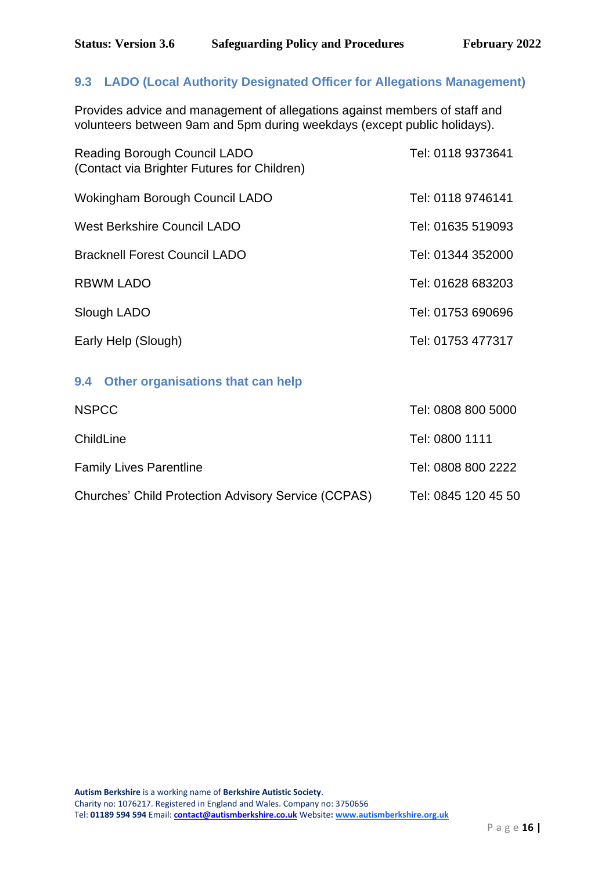## <span id="page-15-0"></span>**9.3 LADO (Local Authority Designated Officer for Allegations Management)**

Provides advice and management of allegations against members of staff and volunteers between 9am and 5pm during weekdays (except public holidays).

| Reading Borough Council LADO<br>(Contact via Brighter Futures for Children) | Tel: 0118 9373641  |
|-----------------------------------------------------------------------------|--------------------|
| Wokingham Borough Council LADO                                              | Tel: 0118 9746141  |
| West Berkshire Council LADO                                                 | Tel: 01635 519093  |
| <b>Bracknell Forest Council LADO</b>                                        | Tel: 01344 352000  |
| <b>RBWM LADO</b>                                                            | Tel: 01628 683203  |
| Slough LADO                                                                 | Tel: 01753 690696  |
| Early Help (Slough)                                                         | Tel: 01753 477317  |
| 9.4 Other organisations that can help                                       |                    |
| <b>NSPCC</b>                                                                | Tel: 0808 800 5000 |
| ChildLine                                                                   | Tel: 0800 1111     |
| <b>Family Lives Parentline</b>                                              | Tel: 0808 800 2222 |
|                                                                             |                    |

<span id="page-15-1"></span>Churches' Child Protection Advisory Service (CCPAS) Tel: 0845 120 45 50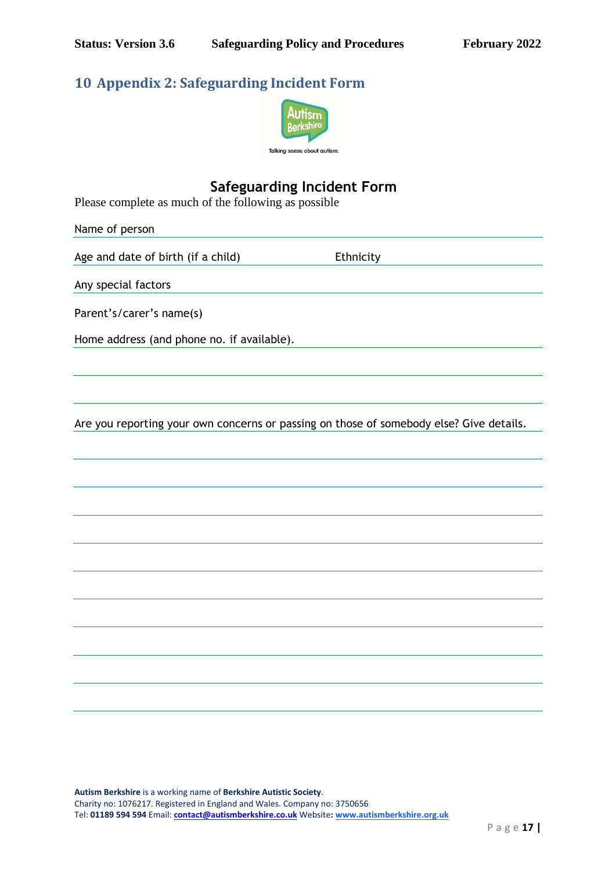## <span id="page-16-0"></span>**10 Appendix 2: Safeguarding Incident Form**



## **Safeguarding Incident Form**

Please complete as much of the following as possible

Name of person

Age and date of birth (if a child) Ethnicity

Any special factors

Parent's/carer's name(s)

Home address (and phone no. if available).

Are you reporting your own concerns or passing on those of somebody else? Give details.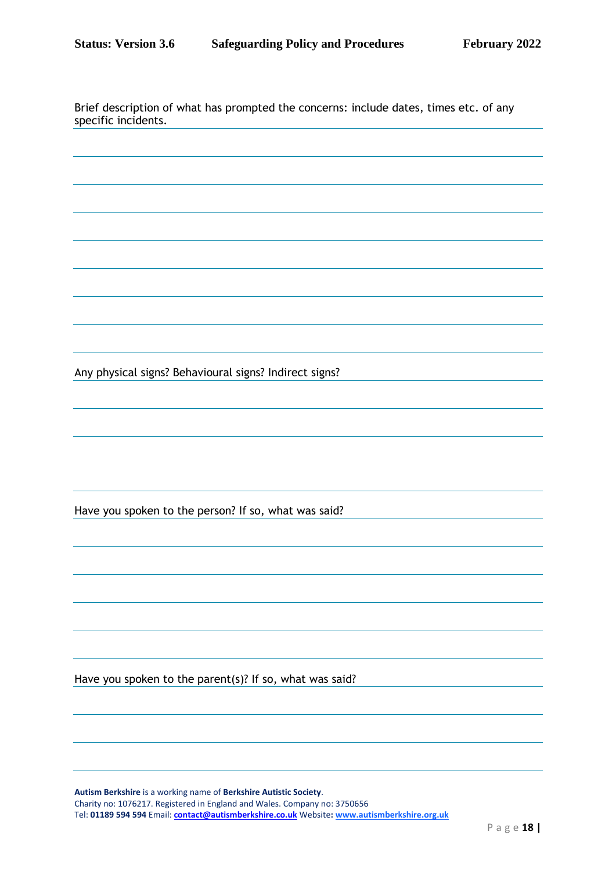Brief description of what has prompted the concerns: include dates, times etc. of any specific incidents.

Any physical signs? Behavioural signs? Indirect signs?

Have you spoken to the person? If so, what was said?

Have you spoken to the parent(s)? If so, what was said?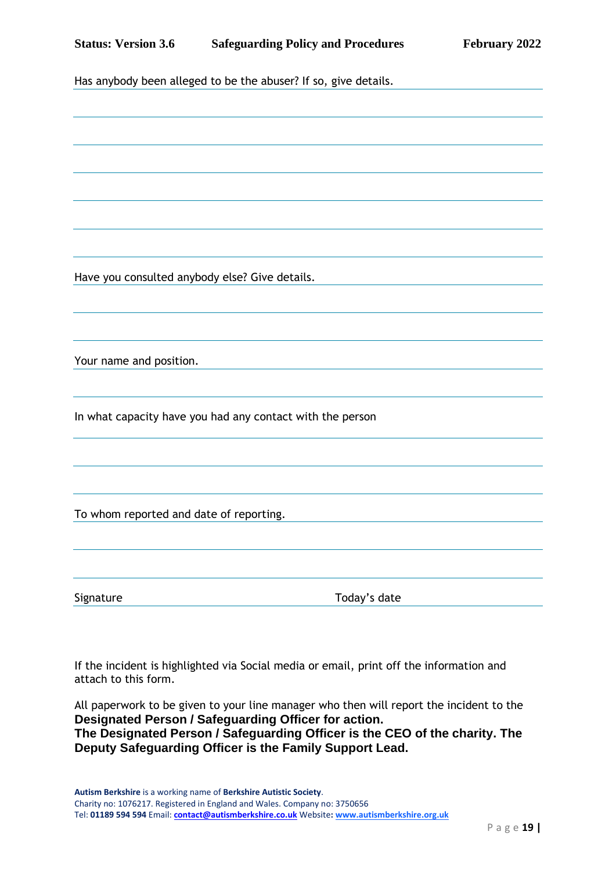| <b>Status: Version 3.6</b> | <b>Safeguarding Policy and Procedures</b>                       | February 2022 |
|----------------------------|-----------------------------------------------------------------|---------------|
|                            | Has anybody been alleged to be the abuser? If so, give details. |               |
|                            |                                                                 |               |
|                            |                                                                 |               |
|                            |                                                                 |               |
|                            |                                                                 |               |
|                            |                                                                 |               |
|                            |                                                                 |               |
|                            | Have you consulted anybody else? Give details.                  |               |
|                            |                                                                 |               |
|                            |                                                                 |               |
| Your name and position.    |                                                                 |               |
|                            |                                                                 |               |
|                            | In what capacity have you had any contact with the person       |               |
|                            |                                                                 |               |
|                            |                                                                 |               |
|                            | To whom reported and date of reporting.                         |               |
|                            |                                                                 |               |
|                            |                                                                 |               |
| Signature                  | Today's date                                                    |               |
|                            |                                                                 |               |

If the incident is highlighted via Social media or email, print off the information and attach to this form.

All paperwork to be given to your line manager who then will report the incident to the **Designated Person / Safeguarding Officer for action. The Designated Person / Safeguarding Officer is the CEO of the charity. The Deputy Safeguarding Officer is the Family Support Lead.**